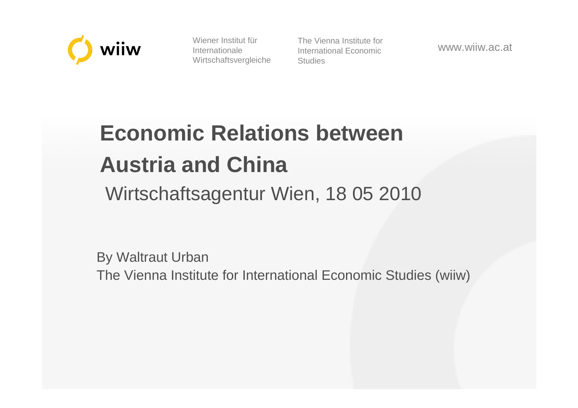

Wiener Institut für Internationale Wirtschaftsvergleiche The Vienna Institute for International Economic**Studies** 

www.wiiw.ac.at

# **Economic Relations between Austria and China**

Wirtschaftsagentur Wien, 18 05 2010

By Waltraut UrbanThe Vienna Institute for International Economic Studies (wiiw)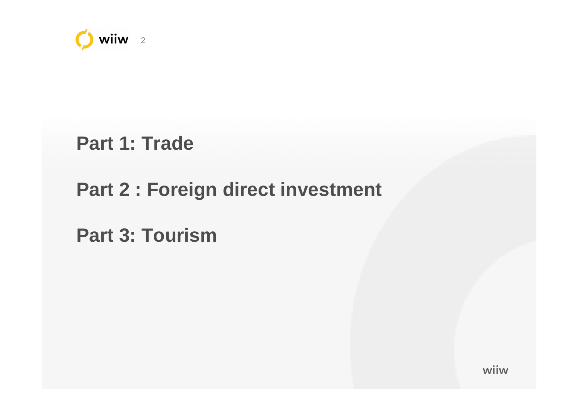

**Part 1: Trade** 

#### **Part 2 : Foreign direct investment**

**Part 3: Tourism** 

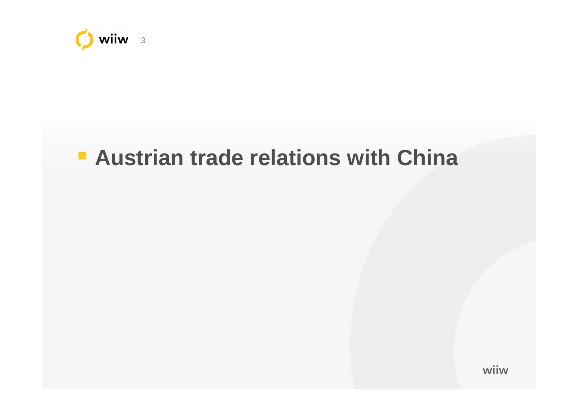

## **Austrian trade relations with China**

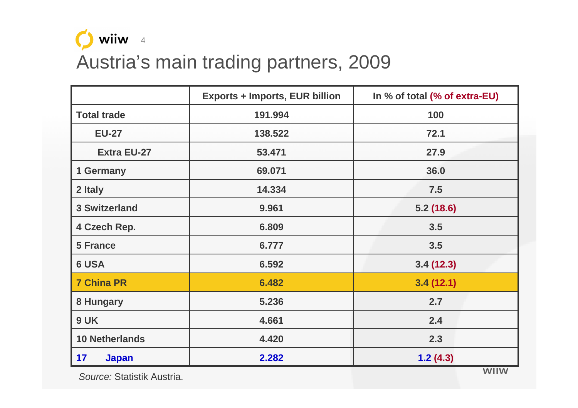

#### Austria's main trading partners, 2009

|                       | <b>Exports + Imports, EUR billion</b> | In % of total (% of extra-EU) |  |
|-----------------------|---------------------------------------|-------------------------------|--|
| <b>Total trade</b>    | 191.994                               | 100                           |  |
| <b>EU-27</b>          | 138.522                               | 72.1                          |  |
| <b>Extra EU-27</b>    | 53.471                                | 27.9                          |  |
| 1 Germany             | 69.071                                | 36.0                          |  |
| 2 Italy               | 14.334                                | 7.5                           |  |
| <b>3 Switzerland</b>  | 9.961                                 | 5.2(18.6)                     |  |
| 4 Czech Rep.          | 6.809                                 | 3.5                           |  |
| <b>5 France</b>       | 6.777                                 | 3.5                           |  |
| <b>6 USA</b>          | 6.592                                 | 3.4(12.3)                     |  |
| <b>7 China PR</b>     | 6.482                                 | 3.4(12.1)                     |  |
| 8 Hungary             | 5.236                                 | 2.7                           |  |
| 9 UK                  | 4.661                                 | 2.4                           |  |
| <b>10 Netherlands</b> | 4.420                                 | 2.3                           |  |
| 17<br><b>Japan</b>    | 2.282                                 | 1.2(4.3)                      |  |

S*ource:* Statistik Austria.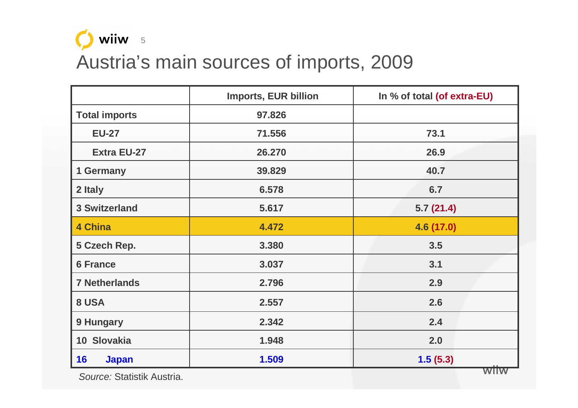

#### Austria's main sources of imports, 2009

|                      | <b>Imports, EUR billion</b> | In % of total (of extra-EU) |  |
|----------------------|-----------------------------|-----------------------------|--|
| <b>Total imports</b> | 97.826                      |                             |  |
| <b>EU-27</b>         | 71.556                      | 73.1                        |  |
| <b>Extra EU-27</b>   | 26.270                      | 26.9                        |  |
| 1 Germany            | 39.829                      | 40.7                        |  |
| 2 Italy              | 6.578                       | 6.7                         |  |
| <b>3 Switzerland</b> | 5.617                       | 5.7(21.4)                   |  |
| <b>4 China</b>       | 4.472                       | 4.6 (17.0)                  |  |
| 5 Czech Rep.         | 3.380                       | 3.5                         |  |
| <b>6 France</b>      | 3.037                       | 3.1                         |  |
| <b>7 Netherlands</b> | 2.796                       | 2.9                         |  |
| 8 USA                | 2.557                       | 2.6                         |  |
| 9 Hungary            | 2.342                       | 2.4                         |  |
| 10 Slovakia          | 1.948                       | 2.0                         |  |
| 16<br><b>Japan</b>   | 1.509                       | 1.5(5.3)                    |  |

S*ource:* Statistik Austria.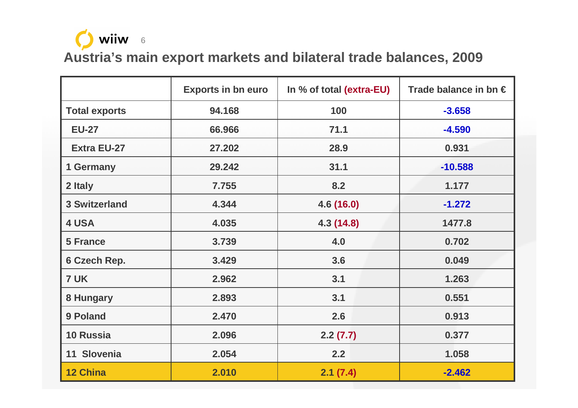

**Austria's main export markets and bilateral trade balances, 2009**

|                      | <b>Exports in bn euro</b> | In % of total (extra-EU) | Trade balance in bn $\in$ |
|----------------------|---------------------------|--------------------------|---------------------------|
| <b>Total exports</b> | 94.168                    | 100                      | $-3.658$                  |
| <b>EU-27</b>         | 66.966                    | 71.1                     | $-4.590$                  |
| <b>Extra EU-27</b>   | 27.202                    | 28.9                     | 0.931                     |
| 1 Germany            | 29.242                    | 31.1                     | $-10.588$                 |
| 2 Italy              | 7.755                     | 8.2                      | 1.177                     |
| <b>3 Switzerland</b> | 4.344                     | 4.6 (16.0)               | $-1.272$                  |
| 4 USA                | 4.035                     | 4.3 (14.8)               | 1477.8                    |
| <b>5 France</b>      | 3.739                     | 4.0                      | 0.702                     |
| 6 Czech Rep.         | 3.429                     | 3.6                      | 0.049                     |
| 7 UK                 | 2.962                     | 3.1                      | 1.263                     |
| 8 Hungary            | 2.893                     | 3.1                      | 0.551                     |
| 9 Poland             | 2.470                     | 2.6                      | 0.913                     |
| <b>10 Russia</b>     | 2.096                     | 2.2(7.7)                 | 0.377                     |
| 11 Slovenia          | 2.054                     | 2.2                      | 1.058                     |
| <b>12 China</b>      | 2.010                     | 2.1(7.4)                 | $-2.462$                  |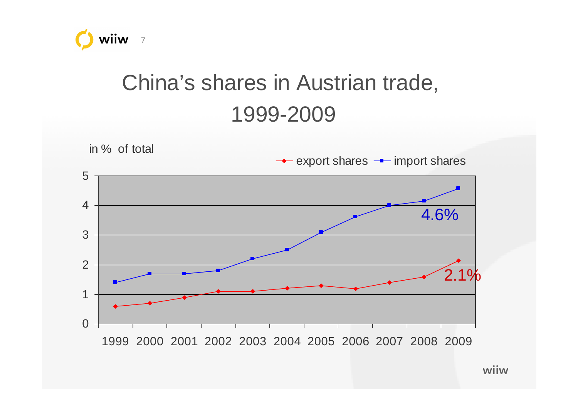

# China's shares in Austrian trade,1999-2009

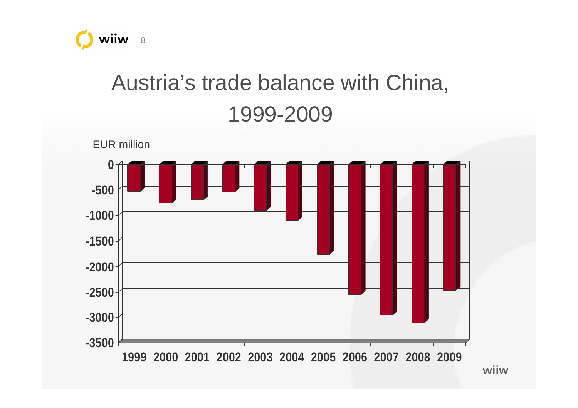

# Austria's trade balance with China, 1999-2009

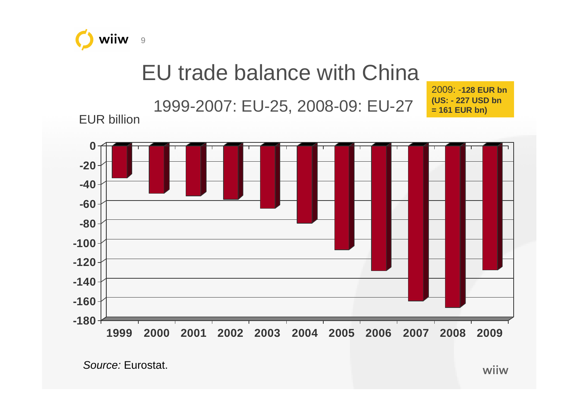

## EU trade balance with China

1999-2007: EU-25, 2008-09: EU-27

2009: -**128 EUR bn (US: - 227 USD bn = 161 EUR bn)**

EUR billion



S*ource:* Eurostat.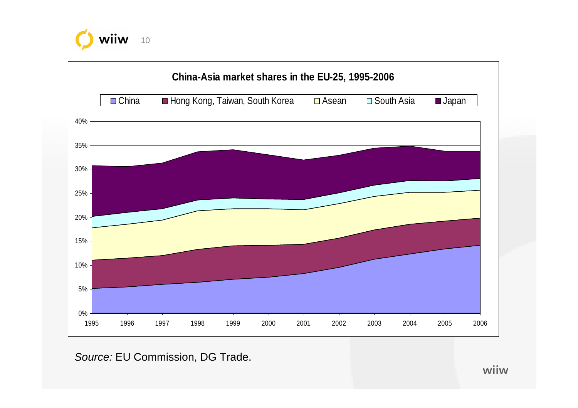



So*urce:* EU Commission, DG Trade.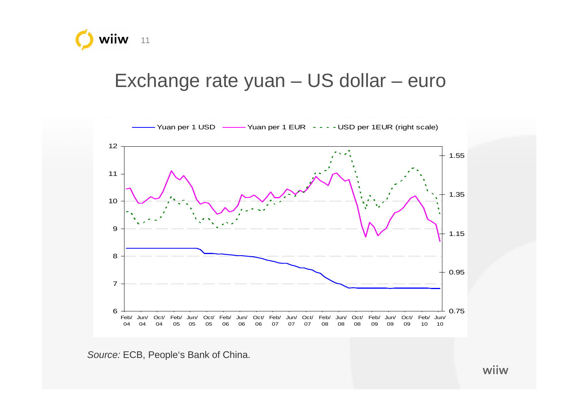

#### Exchange rate yuan – US dollar – euro



Source: ECB, People's Bank of China.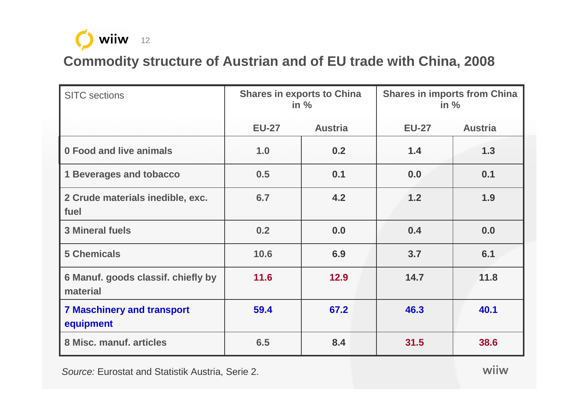

#### **Commodity structure of Austrian and of EU trade with China, 2008**

| <b>SITC</b> sections                           | <b>Shares in exports to China</b><br>in $%$ |                | <b>Shares in imports from China</b><br>in $%$ |                |
|------------------------------------------------|---------------------------------------------|----------------|-----------------------------------------------|----------------|
|                                                | <b>EU-27</b>                                | <b>Austria</b> | <b>EU-27</b>                                  | <b>Austria</b> |
| 0 Food and live animals                        | 1.0                                         | 0.2            | 1.4                                           | 1.3            |
| <b>1 Beverages and tobacco</b>                 | 0.5                                         | 0.1            | 0.0                                           | 0.1            |
| 2 Crude materials inedible, exc.<br>fuel       | 6.7                                         | 4.2            | 1.2                                           | 1.9            |
| 3 Mineral fuels                                | 0.2                                         | 0.0            | 0.4                                           | 0.0            |
| <b>5 Chemicals</b>                             | 10.6                                        | 6.9            | 3.7                                           | 6.1            |
| 6 Manuf. goods classif. chiefly by<br>material | 11.6                                        | 12.9           | 14.7                                          | 11.8           |
| <b>7 Maschinery and transport</b><br>equipment | 59.4                                        | 67.2           | 46.3                                          | 40.1           |
| 8 Misc. manuf. articles                        | 6.5                                         | 8.4            | 31.5                                          | 38.6           |

Source: Eurostat and Statistik Austria, Serie 2.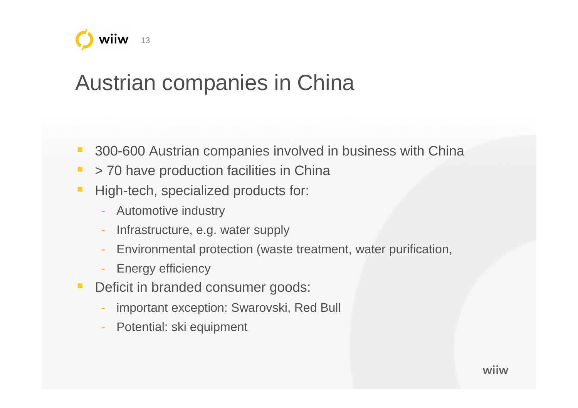

## Austrian companies in China

- 300-600 Austrian companies involved in business with China
- $\overline{\phantom{a}}$ > 70 have production facilities in China
- $\overline{\phantom{a}}$  High-tech, specialized products for:
	- Automotive industry
	- Infrastructure, e.g. water supply
	- -Environmental protection (waste treatment, water purification,
	- Energy efficiency
- $\mathcal{L}_{\mathcal{A}}$  Deficit in branded consumer goods:
	- important exception: Swarovski, Red Bull
	- Potential: ski equipment

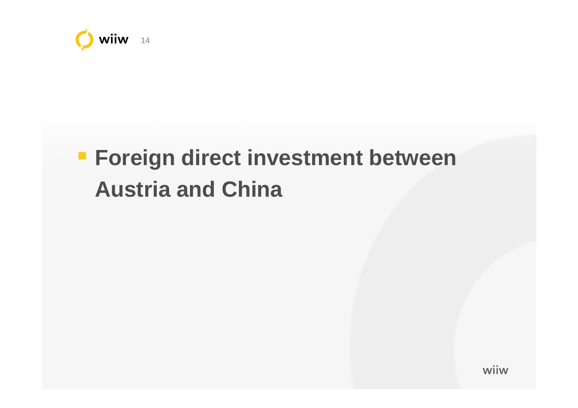

# **Foreign direct investment between Austria and China**

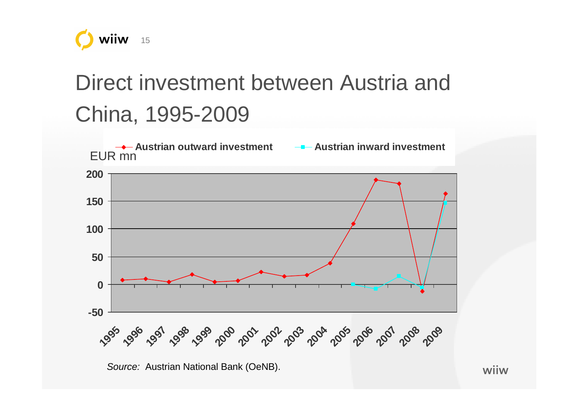

# Direct investment between Austria and China, 1995-2009

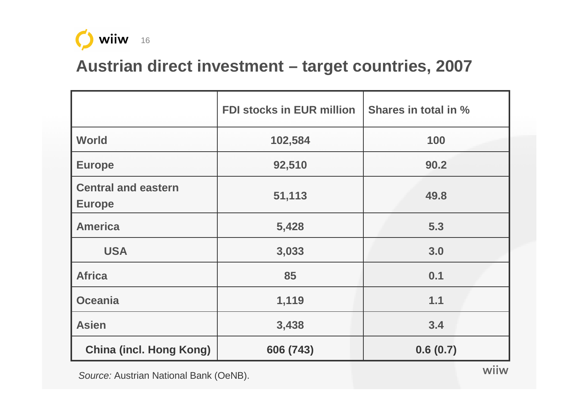

#### **Austrian direct investment – target countries, 2007**

|                                             | <b>FDI stocks in EUR million</b> | Shares in total in % |  |
|---------------------------------------------|----------------------------------|----------------------|--|
| <b>World</b>                                | 102,584                          | 100                  |  |
| <b>Europe</b>                               | 92,510                           | 90.2                 |  |
| <b>Central and eastern</b><br><b>Europe</b> | 51,113                           | 49.8                 |  |
| <b>America</b>                              | 5,428                            | 5.3                  |  |
| <b>USA</b>                                  | 3,033                            | 3.0                  |  |
| <b>Africa</b>                               | 85                               | 0.1                  |  |
| <b>Oceania</b>                              | 1,119                            | 1.1                  |  |
| <b>Asien</b>                                | 3,438                            | 3.4                  |  |
| <b>China (incl. Hong Kong)</b>              | 606 (743)<br>0.6(0.7)            |                      |  |

S*ource:* Austrian National Bank (OeNB).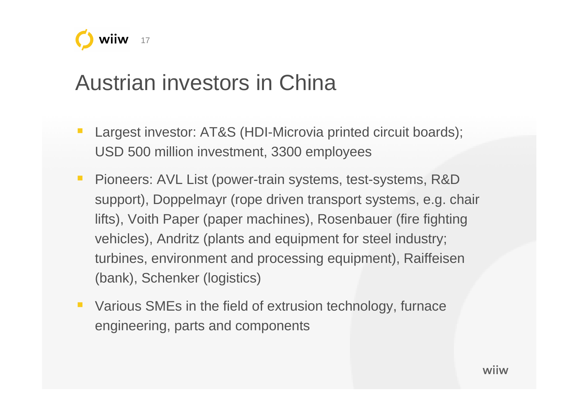

## Austrian investors in China

- Largest investor: AT&S (HDI-Microvia printed circuit boards); USD 500 million investment, 3300 employees
- $\mathcal{L}_{\mathcal{A}}$  Pioneers: AVL List (power-train systems, test-systems, R&D support), Doppelmayr (rope driven transport systems, e.g. chair lifts), Voith Paper (paper machines), Rosenbauer (fire fighting vehicles), Andritz (plants and equipment for steel industry; turbines, environment and processing equipment), Raiffeisen (bank), Schenker (logistics)
- Various SMEs in the field of extrusion technology, furnace engineering, parts and components

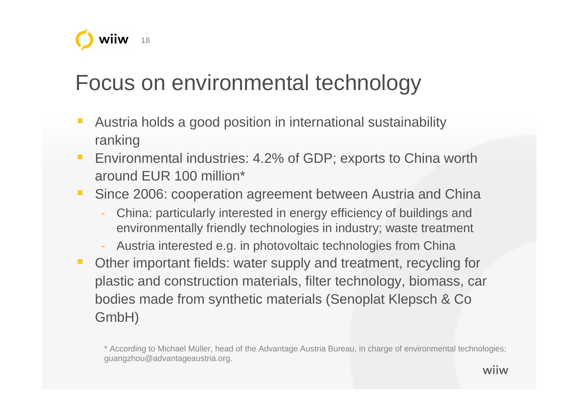

## Focus on environmental technology

- Austria holds a good position in international sustainability ranking
- **Environmental industries: 4.2% of GDP; exports to China worth**  $\mathcal{L}_{\mathcal{A}}$ around EUR 100 million\*
- Since 2006: cooperation agreement between Austria and China
	- China: particularly interested in energy efficiency of buildings and environmentally friendly technologies in industry; waste treatment
	- Austria interested e.g. in photovoltaic technologies from China
- **Other important fields: water supply and treatment, recycling for**  $\mathcal{L}_{\mathcal{A}}$ plastic and construction materials, filter technology, biomass, car bodies made from synthetic materials (Senoplat Klepsch & Co GmbH)

\* According to Michael Müller, head of the Advantage Austria Bureau, in charge of environmental technologies;guangzhou@advantageaustria.org.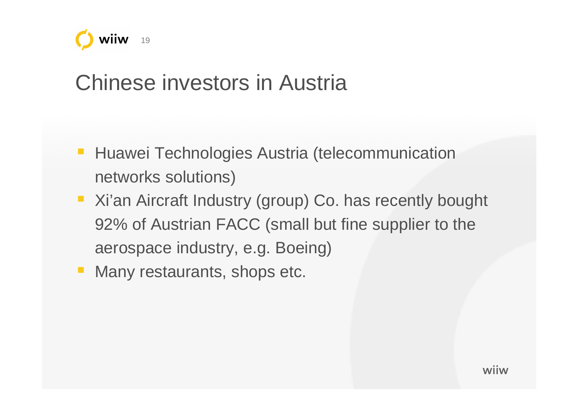

## Chinese investors in Austria

- Huawei Technologies Austria (telecommunication networks solutions)
- Xi'an Aircraft Industry (group) Co. has recently bought 92% of Austrian FACC (small but fine supplier to the aerospace industry, e.g. Boeing)
- Many restaurants, shops etc.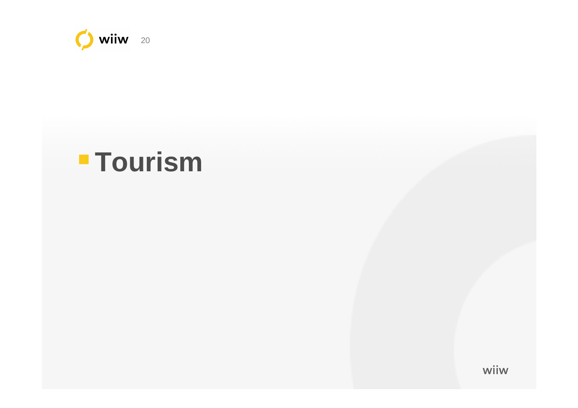

# **Tourism**

© wiiw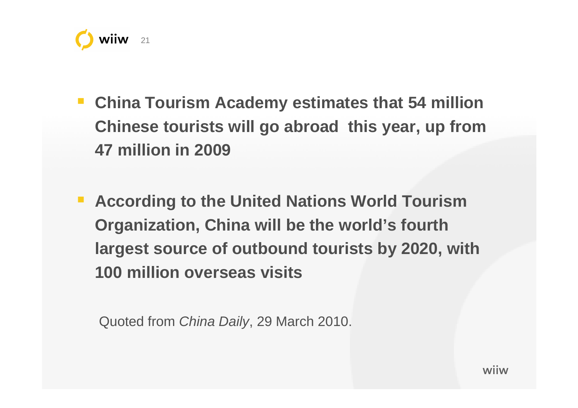

- **China Tourism Academy estimates that 54 million Chinese tourists will go abroad this year, up from47 million in 2009**
- **According to the United Nations World Tourism Organization, China will be the world's fourth largest source of outbound tourists by 2020, with 100 million overseas visits**

Quoted from China Daily, 29 March 2010.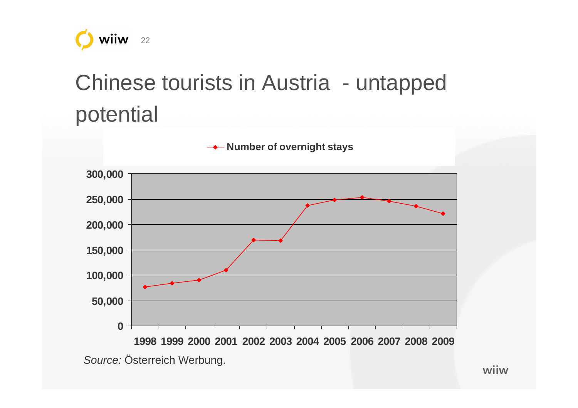

# Chinese tourists in Austria - untappedpotential

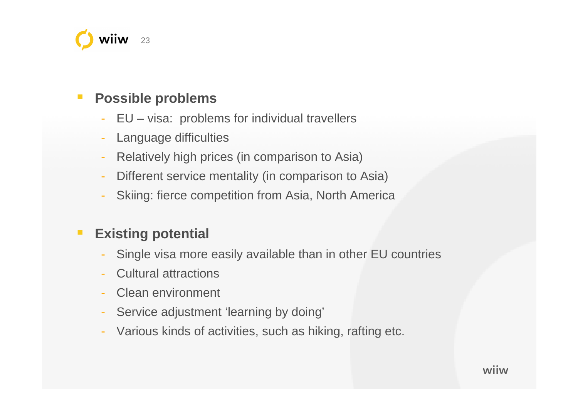

#### H **Possible problems**

- EU visa: problems for individual travellers
- Language difficulties
- -Relatively high prices (in comparison to Asia)
- -Different service mentality (in comparison to Asia)
- Skiing: fierce competition from Asia, North America

#### П **Existing potential**

- Single visa more easily available than in other EU countries
- Cultural attractions
- Clean environment
- Service adjustment 'learning by doing'<br>- Various kinds of activities, such as hiki
- Various kinds of activities, such as hiking, rafting etc.